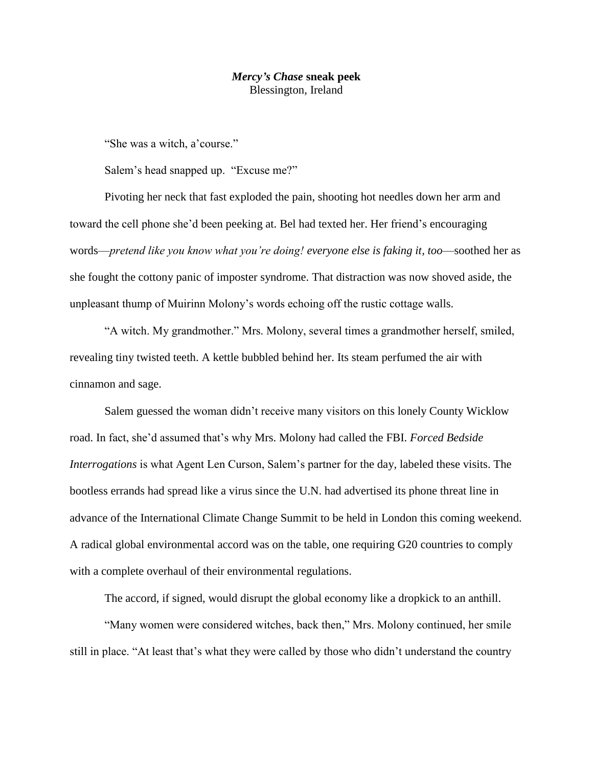## *Mercy's Chase* **sneak peek** Blessington, Ireland

"She was a witch, a'course."

Salem's head snapped up. "Excuse me?"

Pivoting her neck that fast exploded the pain, shooting hot needles down her arm and toward the cell phone she'd been peeking at. Bel had texted her. Her friend's encouraging words—*pretend like you know what you're doing! everyone else is faking it, too*—soothed her as she fought the cottony panic of imposter syndrome. That distraction was now shoved aside, the unpleasant thump of Muirinn Molony's words echoing off the rustic cottage walls.

"A witch. My grandmother." Mrs. Molony, several times a grandmother herself, smiled, revealing tiny twisted teeth. A kettle bubbled behind her. Its steam perfumed the air with cinnamon and sage.

Salem guessed the woman didn't receive many visitors on this lonely County Wicklow road. In fact, she'd assumed that's why Mrs. Molony had called the FBI. *Forced Bedside Interrogations* is what Agent Len Curson, Salem's partner for the day, labeled these visits. The bootless errands had spread like a virus since the U.N. had advertised its phone threat line in advance of the International Climate Change Summit to be held in London this coming weekend. A radical global environmental accord was on the table, one requiring G20 countries to comply with a complete overhaul of their environmental regulations.

The accord, if signed, would disrupt the global economy like a dropkick to an anthill.

"Many women were considered witches, back then," Mrs. Molony continued, her smile still in place. "At least that's what they were called by those who didn't understand the country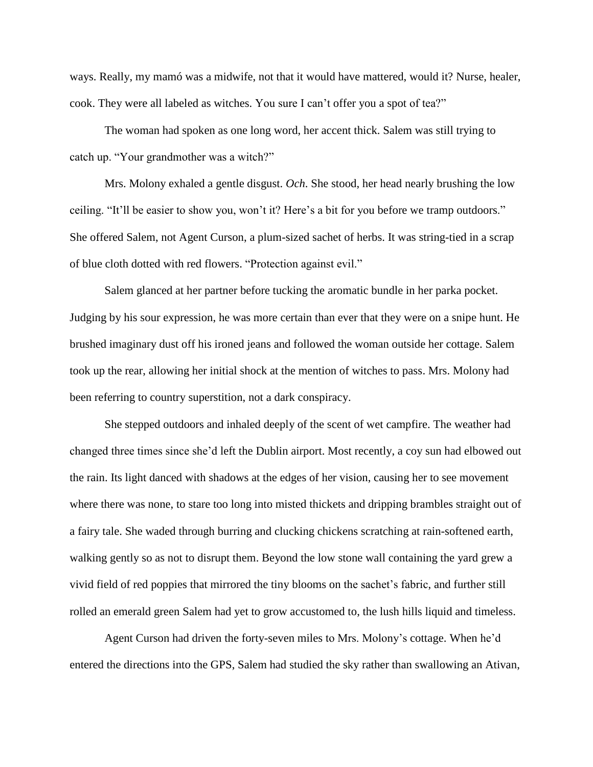ways. Really, my mamó was a midwife, not that it would have mattered, would it? Nurse, healer, cook. They were all labeled as witches. You sure I can't offer you a spot of tea?"

The woman had spoken as one long word, her accent thick. Salem was still trying to catch up. "Your grandmother was a witch?"

Mrs. Molony exhaled a gentle disgust. *Och*. She stood, her head nearly brushing the low ceiling. "It'll be easier to show you, won't it? Here's a bit for you before we tramp outdoors." She offered Salem, not Agent Curson, a plum-sized sachet of herbs. It was string-tied in a scrap of blue cloth dotted with red flowers. "Protection against evil."

Salem glanced at her partner before tucking the aromatic bundle in her parka pocket. Judging by his sour expression, he was more certain than ever that they were on a snipe hunt. He brushed imaginary dust off his ironed jeans and followed the woman outside her cottage. Salem took up the rear, allowing her initial shock at the mention of witches to pass. Mrs. Molony had been referring to country superstition, not a dark conspiracy.

She stepped outdoors and inhaled deeply of the scent of wet campfire. The weather had changed three times since she'd left the Dublin airport. Most recently, a coy sun had elbowed out the rain. Its light danced with shadows at the edges of her vision, causing her to see movement where there was none, to stare too long into misted thickets and dripping brambles straight out of a fairy tale. She waded through burring and clucking chickens scratching at rain-softened earth, walking gently so as not to disrupt them. Beyond the low stone wall containing the yard grew a vivid field of red poppies that mirrored the tiny blooms on the sachet's fabric, and further still rolled an emerald green Salem had yet to grow accustomed to, the lush hills liquid and timeless.

Agent Curson had driven the forty-seven miles to Mrs. Molony's cottage. When he'd entered the directions into the GPS, Salem had studied the sky rather than swallowing an Ativan,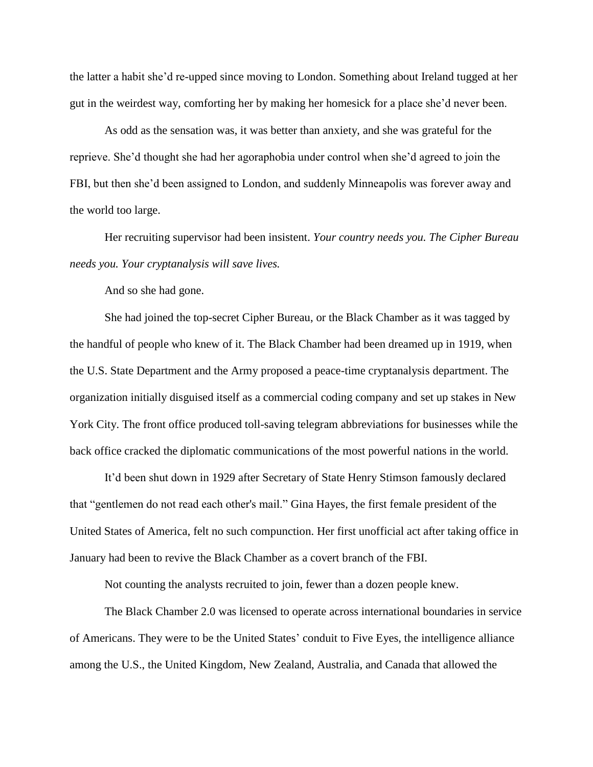the latter a habit she'd re-upped since moving to London. Something about Ireland tugged at her gut in the weirdest way, comforting her by making her homesick for a place she'd never been.

As odd as the sensation was, it was better than anxiety, and she was grateful for the reprieve. She'd thought she had her agoraphobia under control when she'd agreed to join the FBI, but then she'd been assigned to London, and suddenly Minneapolis was forever away and the world too large.

Her recruiting supervisor had been insistent. *Your country needs you. The Cipher Bureau needs you. Your cryptanalysis will save lives.*

And so she had gone.

She had joined the top-secret Cipher Bureau, or the Black Chamber as it was tagged by the handful of people who knew of it. The Black Chamber had been dreamed up in 1919, when the U.S. State Department and the Army proposed a peace-time cryptanalysis department. The organization initially disguised itself as a commercial coding company and set up stakes in New York City. The front office produced toll-saving telegram abbreviations for businesses while the back office cracked the diplomatic communications of the most powerful nations in the world.

It'd been shut down in 1929 after Secretary of State Henry Stimson famously declared that "gentlemen do not read each other's mail." Gina Hayes, the first female president of the United States of America, felt no such compunction. Her first unofficial act after taking office in January had been to revive the Black Chamber as a covert branch of the FBI.

Not counting the analysts recruited to join, fewer than a dozen people knew.

The Black Chamber 2.0 was licensed to operate across international boundaries in service of Americans. They were to be the United States' conduit to Five Eyes, the intelligence alliance among the U.S., the United Kingdom, New Zealand, Australia, and Canada that allowed the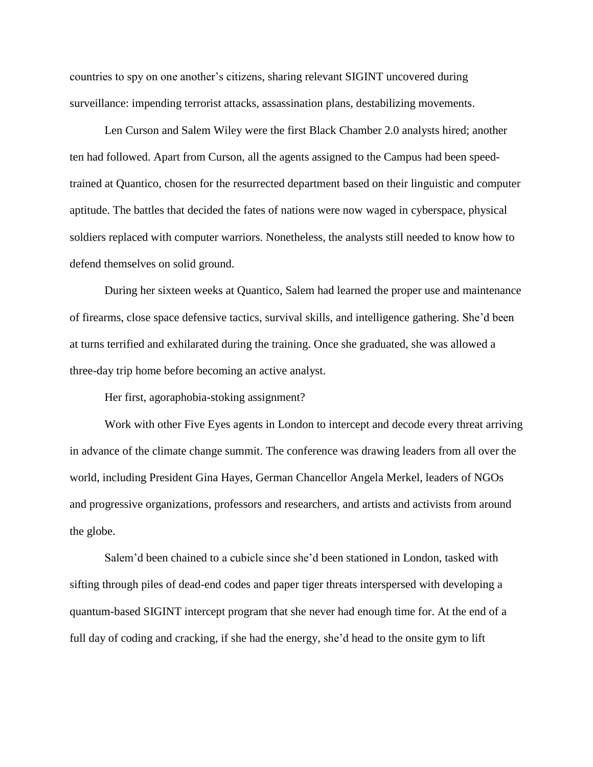countries to spy on one another's citizens, sharing relevant SIGINT uncovered during surveillance: impending terrorist attacks, assassination plans, destabilizing movements.

Len Curson and Salem Wiley were the first Black Chamber 2.0 analysts hired; another ten had followed. Apart from Curson, all the agents assigned to the Campus had been speedtrained at Quantico, chosen for the resurrected department based on their linguistic and computer aptitude. The battles that decided the fates of nations were now waged in cyberspace, physical soldiers replaced with computer warriors. Nonetheless, the analysts still needed to know how to defend themselves on solid ground.

During her sixteen weeks at Quantico, Salem had learned the proper use and maintenance of firearms, close space defensive tactics, survival skills, and intelligence gathering. She'd been at turns terrified and exhilarated during the training. Once she graduated, she was allowed a three-day trip home before becoming an active analyst.

Her first, agoraphobia-stoking assignment?

Work with other Five Eyes agents in London to intercept and decode every threat arriving in advance of the climate change summit. The conference was drawing leaders from all over the world, including President Gina Hayes, German Chancellor Angela Merkel, leaders of NGOs and progressive organizations, professors and researchers, and artists and activists from around the globe.

Salem'd been chained to a cubicle since she'd been stationed in London, tasked with sifting through piles of dead-end codes and paper tiger threats interspersed with developing a quantum-based SIGINT intercept program that she never had enough time for. At the end of a full day of coding and cracking, if she had the energy, she'd head to the onsite gym to lift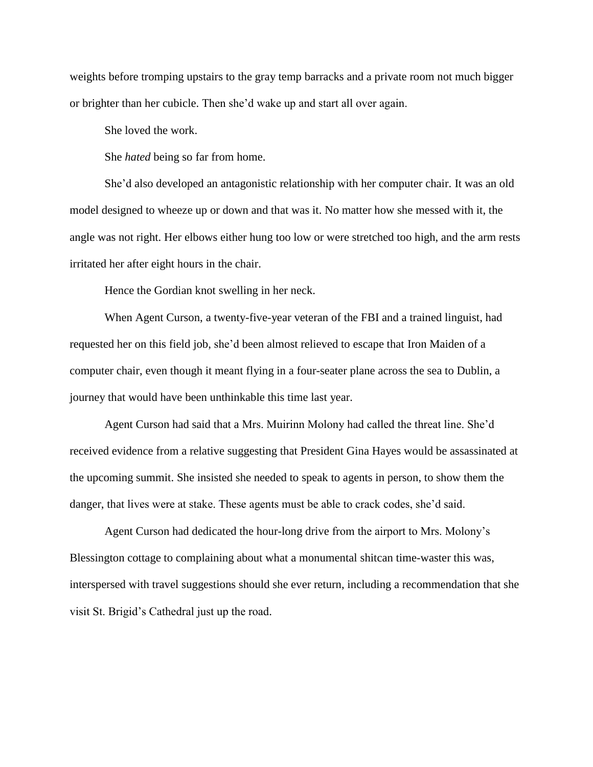weights before tromping upstairs to the gray temp barracks and a private room not much bigger or brighter than her cubicle. Then she'd wake up and start all over again.

She loved the work.

She *hated* being so far from home.

She'd also developed an antagonistic relationship with her computer chair. It was an old model designed to wheeze up or down and that was it. No matter how she messed with it, the angle was not right. Her elbows either hung too low or were stretched too high, and the arm rests irritated her after eight hours in the chair.

Hence the Gordian knot swelling in her neck.

When Agent Curson, a twenty-five-year veteran of the FBI and a trained linguist, had requested her on this field job, she'd been almost relieved to escape that Iron Maiden of a computer chair, even though it meant flying in a four-seater plane across the sea to Dublin, a journey that would have been unthinkable this time last year.

Agent Curson had said that a Mrs. Muirinn Molony had called the threat line. She'd received evidence from a relative suggesting that President Gina Hayes would be assassinated at the upcoming summit. She insisted she needed to speak to agents in person, to show them the danger, that lives were at stake. These agents must be able to crack codes, she'd said.

Agent Curson had dedicated the hour-long drive from the airport to Mrs. Molony's Blessington cottage to complaining about what a monumental shitcan time-waster this was, interspersed with travel suggestions should she ever return, including a recommendation that she visit St. Brigid's Cathedral just up the road.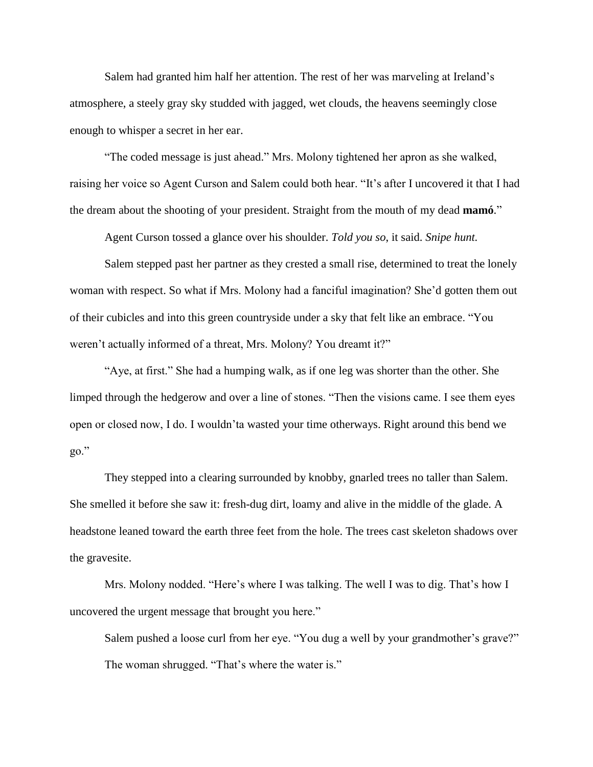Salem had granted him half her attention. The rest of her was marveling at Ireland's atmosphere, a steely gray sky studded with jagged, wet clouds, the heavens seemingly close enough to whisper a secret in her ear.

"The coded message is just ahead." Mrs. Molony tightened her apron as she walked, raising her voice so Agent Curson and Salem could both hear. "It's after I uncovered it that I had the dream about the shooting of your president. Straight from the mouth of my dead **mamó**."

Agent Curson tossed a glance over his shoulder. *Told you so*, it said. *Snipe hunt.*

Salem stepped past her partner as they crested a small rise, determined to treat the lonely woman with respect. So what if Mrs. Molony had a fanciful imagination? She'd gotten them out of their cubicles and into this green countryside under a sky that felt like an embrace. "You weren't actually informed of a threat, Mrs. Molony? You dreamt it?"

"Aye, at first." She had a humping walk, as if one leg was shorter than the other. She limped through the hedgerow and over a line of stones. "Then the visions came. I see them eyes open or closed now, I do. I wouldn'ta wasted your time otherways. Right around this bend we go."

They stepped into a clearing surrounded by knobby, gnarled trees no taller than Salem. She smelled it before she saw it: fresh-dug dirt, loamy and alive in the middle of the glade. A headstone leaned toward the earth three feet from the hole. The trees cast skeleton shadows over the gravesite.

Mrs. Molony nodded. "Here's where I was talking. The well I was to dig. That's how I uncovered the urgent message that brought you here."

Salem pushed a loose curl from her eye. "You dug a well by your grandmother's grave?" The woman shrugged. "That's where the water is."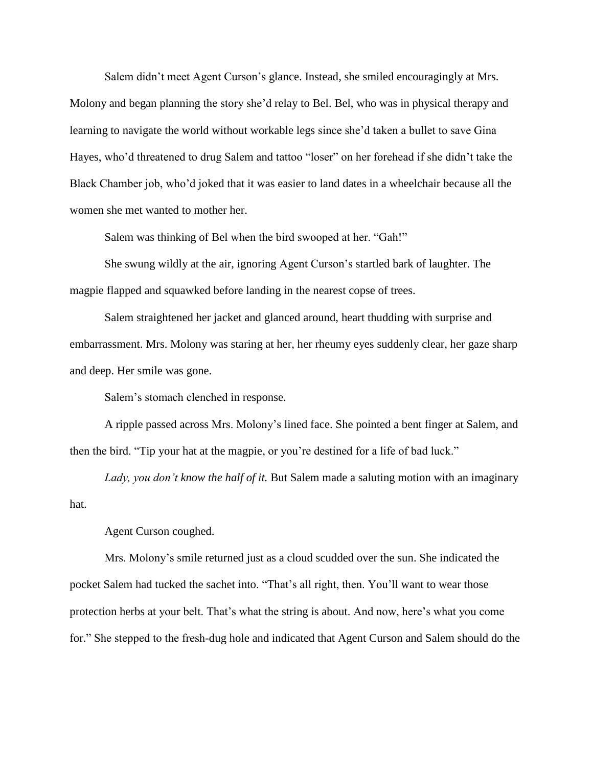Salem didn't meet Agent Curson's glance. Instead, she smiled encouragingly at Mrs. Molony and began planning the story she'd relay to Bel. Bel, who was in physical therapy and learning to navigate the world without workable legs since she'd taken a bullet to save Gina Hayes, who'd threatened to drug Salem and tattoo "loser" on her forehead if she didn't take the Black Chamber job, who'd joked that it was easier to land dates in a wheelchair because all the women she met wanted to mother her.

Salem was thinking of Bel when the bird swooped at her. "Gah!"

She swung wildly at the air, ignoring Agent Curson's startled bark of laughter. The magpie flapped and squawked before landing in the nearest copse of trees.

Salem straightened her jacket and glanced around, heart thudding with surprise and embarrassment. Mrs. Molony was staring at her, her rheumy eyes suddenly clear, her gaze sharp and deep. Her smile was gone.

Salem's stomach clenched in response.

A ripple passed across Mrs. Molony's lined face. She pointed a bent finger at Salem, and then the bird. "Tip your hat at the magpie, or you're destined for a life of bad luck."

*Lady, you don't know the half of it.* But Salem made a saluting motion with an imaginary hat.

Agent Curson coughed.

Mrs. Molony's smile returned just as a cloud scudded over the sun. She indicated the pocket Salem had tucked the sachet into. "That's all right, then. You'll want to wear those protection herbs at your belt. That's what the string is about. And now, here's what you come for." She stepped to the fresh-dug hole and indicated that Agent Curson and Salem should do the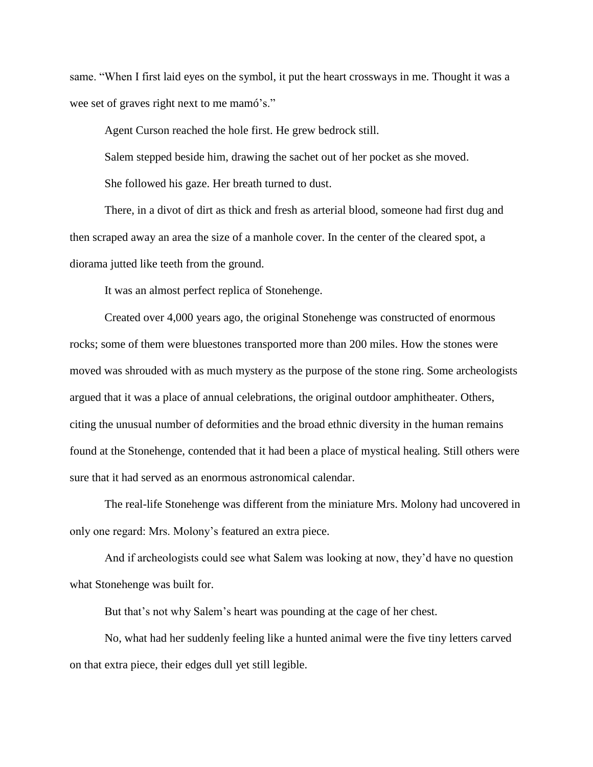same. "When I first laid eyes on the symbol, it put the heart crossways in me. Thought it was a wee set of graves right next to me mamó's."

Agent Curson reached the hole first. He grew bedrock still.

Salem stepped beside him, drawing the sachet out of her pocket as she moved.

She followed his gaze. Her breath turned to dust.

There, in a divot of dirt as thick and fresh as arterial blood, someone had first dug and then scraped away an area the size of a manhole cover. In the center of the cleared spot, a diorama jutted like teeth from the ground.

It was an almost perfect replica of Stonehenge.

Created over 4,000 years ago, the original Stonehenge was constructed of enormous rocks; some of them were bluestones transported more than 200 miles. How the stones were moved was shrouded with as much mystery as the purpose of the stone ring. Some archeologists argued that it was a place of annual celebrations, the original outdoor amphitheater. Others, citing the unusual number of deformities and the broad ethnic diversity in the human remains found at the Stonehenge, contended that it had been a place of mystical healing. Still others were sure that it had served as an enormous astronomical calendar.

The real-life Stonehenge was different from the miniature Mrs. Molony had uncovered in only one regard: Mrs. Molony's featured an extra piece.

And if archeologists could see what Salem was looking at now, they'd have no question what Stonehenge was built for.

But that's not why Salem's heart was pounding at the cage of her chest.

No, what had her suddenly feeling like a hunted animal were the five tiny letters carved on that extra piece, their edges dull yet still legible.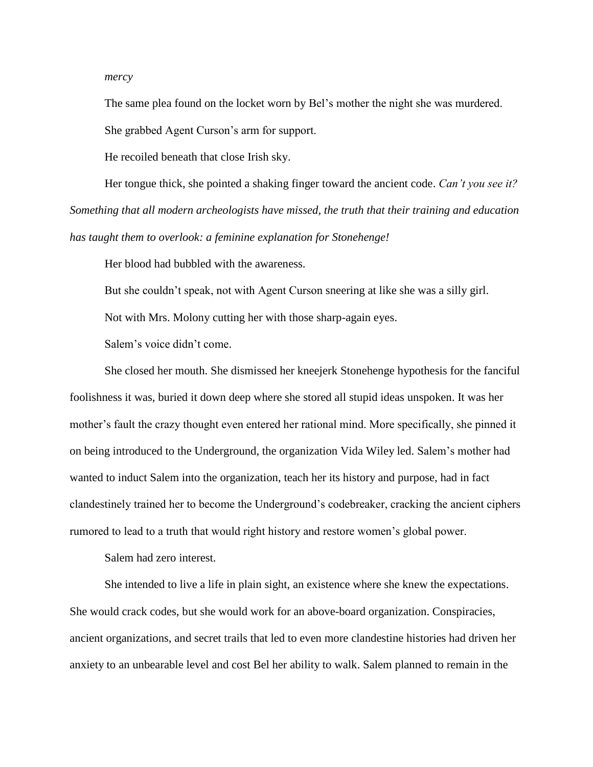*mercy*

The same plea found on the locket worn by Bel's mother the night she was murdered.

She grabbed Agent Curson's arm for support.

He recoiled beneath that close Irish sky.

Her tongue thick, she pointed a shaking finger toward the ancient code. *Can't you see it? Something that all modern archeologists have missed, the truth that their training and education has taught them to overlook: a feminine explanation for Stonehenge!*

Her blood had bubbled with the awareness.

But she couldn't speak, not with Agent Curson sneering at like she was a silly girl.

Not with Mrs. Molony cutting her with those sharp-again eyes.

Salem's voice didn't come.

She closed her mouth. She dismissed her kneejerk Stonehenge hypothesis for the fanciful foolishness it was, buried it down deep where she stored all stupid ideas unspoken. It was her mother's fault the crazy thought even entered her rational mind. More specifically, she pinned it on being introduced to the Underground, the organization Vida Wiley led. Salem's mother had wanted to induct Salem into the organization, teach her its history and purpose, had in fact clandestinely trained her to become the Underground's codebreaker, cracking the ancient ciphers rumored to lead to a truth that would right history and restore women's global power.

Salem had zero interest.

She intended to live a life in plain sight, an existence where she knew the expectations. She would crack codes, but she would work for an above-board organization. Conspiracies, ancient organizations, and secret trails that led to even more clandestine histories had driven her anxiety to an unbearable level and cost Bel her ability to walk. Salem planned to remain in the